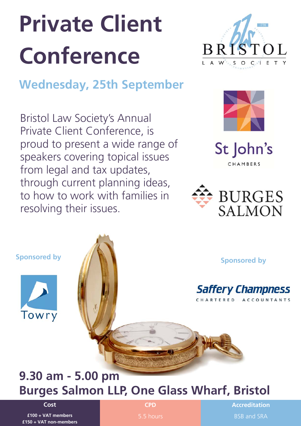# **Private Client Conference**



# **Wednesday, 25th September**

Bristol Law Society's Annual Private Client Conference, is proud to present a wide range of speakers covering topical issues from legal and tax updates, through current planning ideas, to how to work with families in resolving their issues.



St John's CHAMBERS







# **9.30 am - 5.00 pm Burges Salmon LLP, One Glass Wharf, Bristol**

**Cost** 

**£100 + VAT members £150 + VAT non-members**  **CPD** 

**Accreditation**  BSB and SRA

5.5 hours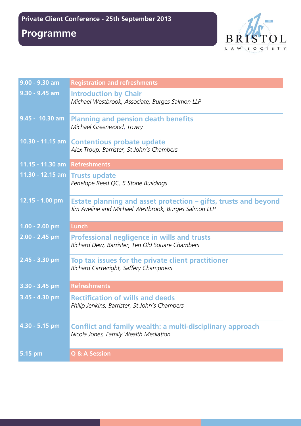## **Programme**



| $9.00 - 9.30$ am               | <b>Registration and refreshments</b>                                                                                    |
|--------------------------------|-------------------------------------------------------------------------------------------------------------------------|
| $9.30 - 9.45$ am               | <b>Introduction by Chair</b><br>Michael Westbrook, Associate, Burges Salmon LLP                                         |
| 9.45 - 10.30 am                | <b>Planning and pension death benefits</b><br>Michael Greenwood, Towry                                                  |
|                                | 10.30 - 11.15 am Contentious probate update<br>Alex Troup, Barrister, St John's Chambers                                |
| 11.15 - 11.30 am Refreshments  |                                                                                                                         |
| 11.30 - 12.15 am Trusts update | Penelope Reed QC, 5 Stone Buildings                                                                                     |
| 12.15 - 1.00 pm                | Estate planning and asset protection – gifts, trusts and beyond<br>Jim Aveline and Michael Westbrook, Burges Salmon LLP |
| $1.00 - 2.00$ pm               | <b>Lunch</b>                                                                                                            |
| $2.00 - 2.45$ pm               | <b>Professional negligence in wills and trusts</b><br>Richard Dew, Barrister, Ten Old Square Chambers                   |
| 2.45 - 3.30 pm                 | Top tax issues for the private client practitioner<br>Richard Cartwright, Saffery Champness                             |
| 3.30 - 3.45 pm                 | <b>Refreshments</b>                                                                                                     |
| $3.45 - 4.30$ pm               | <b>Rectification of wills and deeds</b><br>Philip Jenkins, Barrister, St John's Chambers                                |
| 4.30 - 5.15 pm                 | <b>Conflict and family wealth: a multi-disciplinary approach</b><br>Nicola Jones, Family Wealth Mediation               |
| 5.15 pm                        | <b>Q &amp; A Session</b>                                                                                                |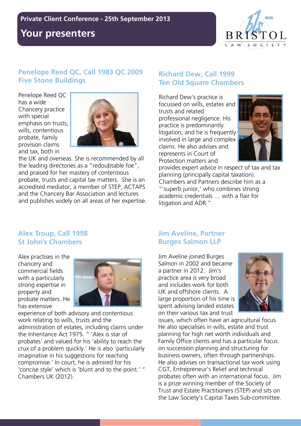## **Your presenters**



#### **Penelope Reed QC, Call 1983 QC 2009 Five Stone Buildings**

Penelope Reed QC has a wide Chancery practice with special emphasis on trusts, wills, contentious probate, family provision claims and tax, both in



the UK and overseas. She is recommended by all the leading directories as a "redoubtable foe", and praised for her mastery of contentious probate, trusts and capital tax matters. She is an accredited mediator, a member of STEP, ACTAPS and the Chancery Bar Association and lectures and publishes widely on all areas of her expertise.

#### **Richard Dew, Call 1999 Ten Old Square Chambers**

Richard Dew's practice is focussed on wills, estates and trusts and related professional negligence. His practice is predominantly litigation, and he is frequently involved in large and complex claims. He also advises and represents in Court of Protection matters and



provides expert advice in respect of tax and tax planning (principally capital taxation). Chambers and Partners describe him as a "'superb junior,' who combines strong academic credentials … with a flair for litigation and ADR."

#### **Alex Troup, Call 1998 St John's Chambers**

Alex practises in the chancery and commercial fields with a particularly strong expertise in property and probate matters. He has extensive



experience of both advisory and contentious work relating to wills, trusts and the administration of estates, including claims under the Inheritance Act 1975. " 'Alex is star of probates' and valued for his 'ability to reach the crux of a problem quickly.' He is also 'particularly imaginative in his suggestions for reaching compromise.' In court, he is admired for his 'concise style' which is 'blunt and to the point.' " Chambers UK (2012).

#### **Jim Aveline, Partner Burges Salmon LLP**

Jim Aveline joined Burges Salmon in 2002 and became a partner in 2012. Jim's practice area is very broad and includes work for both UK and offshore clients. A large proportion of his time is spent advising landed estates on their various tax and trust



issues, which often have an agricultural focus. He also specialises in wills, estate and trust planning for high net worth individuals and Family Office clients and has a particular focus on succession planning and structuring for business owners, often through partnerships. He also advises on transactional tax work using CGT, Entrepreneur's Relief and technical probates often with an international focus. Jim is a prize winning member of the Society of Trust and Estate Practitioners (STEP) and sits on the Law Society's Capital Taxes Sub-committee.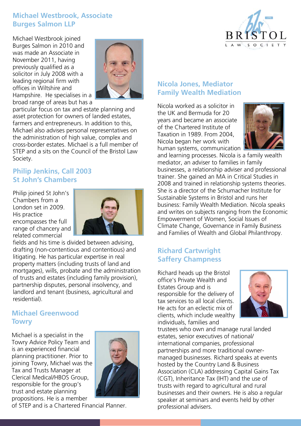#### **Michael Westbrook, Associate Burges Salmon LLP**

Michael Westbrook joined Burges Salmon in 2010 and was made an Associate in November 2011, having previously qualified as a solicitor in July 2008 with a leading regional firm with offices in Wiltshire and Hampshire. He specialises in a broad range of areas but has a



particular focus on tax and estate planning and asset protection for owners of landed estates, farmers and entrepreneurs. In addition to this, Michael also advises personal representatives on the administration of high value, complex and cross-border estates. Michael is a full member of STEP and a sits on the Council of the Bristol Law Society.

#### **Philip Jenkins, Call 2003 St John's Chambers**

Philip joined St John's Chambers from a London set in 2009. His practice encompasses the full range of chancery and related commercial



fields and his time is divided between advising, drafting (non-contentious and contentious) and litigating. He has particular expertise in real property matters (including trusts of land and mortgages), wills, probate and the administration of trusts and estates (including family provision), partnership disputes, personal insolvency, and landlord and tenant (business, agricultural and residential).

#### **Michael Greenwood Towry**

Michael is a specialist in the Towry Advice Policy Team and is an experienced financial planning practitioner. Prior to joining Towry, Michael was the Tax and Trusts Manager at Clerical Medical/HBOS Group, responsible for the group's trust and estate planning propositions. He is a member



of STEP and is a Chartered Financial Planner.

#### **Nicola Jones, Mediator Family Wealth Mediation**

Nicola worked as a solicitor in the UK and Bermuda for 20 years and became an associate of the Chartered Institute of Taxation in 1989. From 2004, Nicola began her work with human systems, communication



and learning processes. Nicola is a family wealth mediator, an adviser to families in family businesses, a relationship adviser and professional trainer. She gained an MA in Critical Studies in 2008 and trained in relationship systems theories. She is a director of the Schumacher Institute for Sustainable Systems in Bristol and runs her business: Family Wealth Mediation. Nicola speaks and writes on subjects ranging from the Economic Empowerment of Women, Social Issues of Climate Change, Governance in Family Business and Families of Wealth and Global Philanthropy.

#### **Richard Cartwright Saffery Champness**

Richard heads up the Bristol office's Private Wealth and Estates Group and is responsible for the delivery of tax services to all local clients. He acts for an eclectic mix of clients, which include wealthy individuals, families and



trustees who own and manage rural landed estates, senior executives of national/ international companies, professional partnerships and more traditional ownermanaged businesses. Richard speaks at events hosted by the Country Land & Business Association (CLA) addressing Capital Gains Tax (CGT), Inheritance Tax (IHT) and the use of trusts with regard to agricultural and rural businesses and their owners. He is also a regular speaker at seminars and events held by other professional advisers.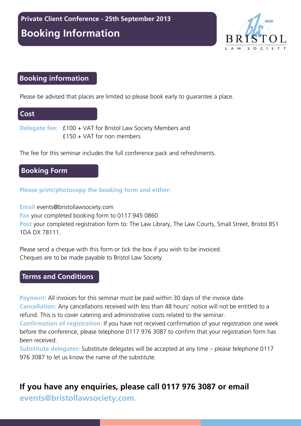**Booking Information** 



#### **Booking information**

Please be advised that places are limited so please book early to guarantee a place.

#### **Cost**

**Delegate fee:** £100 + VAT for Bristol Law Society Members and £150 + VAT for non members

The fee for this seminar includes the full conference pack and refreshments.

#### **Booking Form**

#### **Please print/photocopy the booking form and either:**

**Email** events@bristollawsociety.com **Fax** your completed booking form to 0117 945 0860 **Post** your completed registration form to: The Law Library, The Law Courts, Small Street, Bristol BS1 1DA DX 78111.

Please send a cheque with this form or tick the box if you wish to be invoiced. Cheques are to be made payable to Bristol Law Society.

#### **Terms and Conditions**

**Payment:** All invoices for this seminar must be paid within 30 days of the invoice date.

**Cancellation:** Any cancellations received with less than 48 hours' notice will not be entitled to a refund. This is to cover catering and administrative costs related to the seminar.

**Confirmation of registration:** If you have not received confirmation of your registration one week before the conference, please telephone 0117 976 3087 to confirm that your registration form has been received.

**Substitute delegates:** Substitute delegates will be accepted at any time – please telephone 0117 976 3087 to let us know the name of the substitute.

## **If you have any enquiries, please call 0117 976 3087 or email**

**events@bristollawsociety.com.**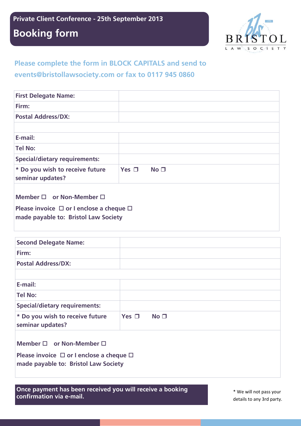**Local Government Law - 4th December 2012 Private Client Conference - 25th September 2013** 

## **Booking Form Booking form**



### **Please complete the form in BLOCK CAPITALS and send to events@bristollawsociety.com or fax to 0117 945 0860**

| <b>First Delegate Name:</b>                                                                                                            |            |                 |  |  |
|----------------------------------------------------------------------------------------------------------------------------------------|------------|-----------------|--|--|
| Firm:                                                                                                                                  |            |                 |  |  |
| <b>Postal Address/DX:</b>                                                                                                              |            |                 |  |  |
|                                                                                                                                        |            |                 |  |  |
| E-mail:                                                                                                                                |            |                 |  |  |
| <b>Tel No:</b>                                                                                                                         |            |                 |  |  |
| <b>Special/dietary requirements:</b>                                                                                                   |            |                 |  |  |
| * Do you wish to receive future<br>seminar updates?                                                                                    | Yes $\Box$ | No <sub>1</sub> |  |  |
| Member $\square$ or Non-Member $\square$<br>Please invoice $\Box$ or I enclose a cheque $\Box$<br>made payable to: Bristol Law Society |            |                 |  |  |

| <b>Second Delegate Name:</b>                                                                                                           |            |                 |  |  |
|----------------------------------------------------------------------------------------------------------------------------------------|------------|-----------------|--|--|
| Firm:                                                                                                                                  |            |                 |  |  |
| <b>Postal Address/DX:</b>                                                                                                              |            |                 |  |  |
|                                                                                                                                        |            |                 |  |  |
| E-mail:                                                                                                                                |            |                 |  |  |
| <b>Tel No:</b>                                                                                                                         |            |                 |  |  |
| <b>Special/dietary requirements:</b>                                                                                                   |            |                 |  |  |
| * Do you wish to receive future<br>seminar updates?                                                                                    | Yes $\Box$ | No <sub>1</sub> |  |  |
| Member $\square$ or Non-Member $\square$<br>Please invoice $\Box$ or I enclose a cheque $\Box$<br>made payable to: Bristol Law Society |            |                 |  |  |

**Once payment has been received you will receive a booking confirmation via e-mail.** \* We will not pass your

details to any 3rd party.